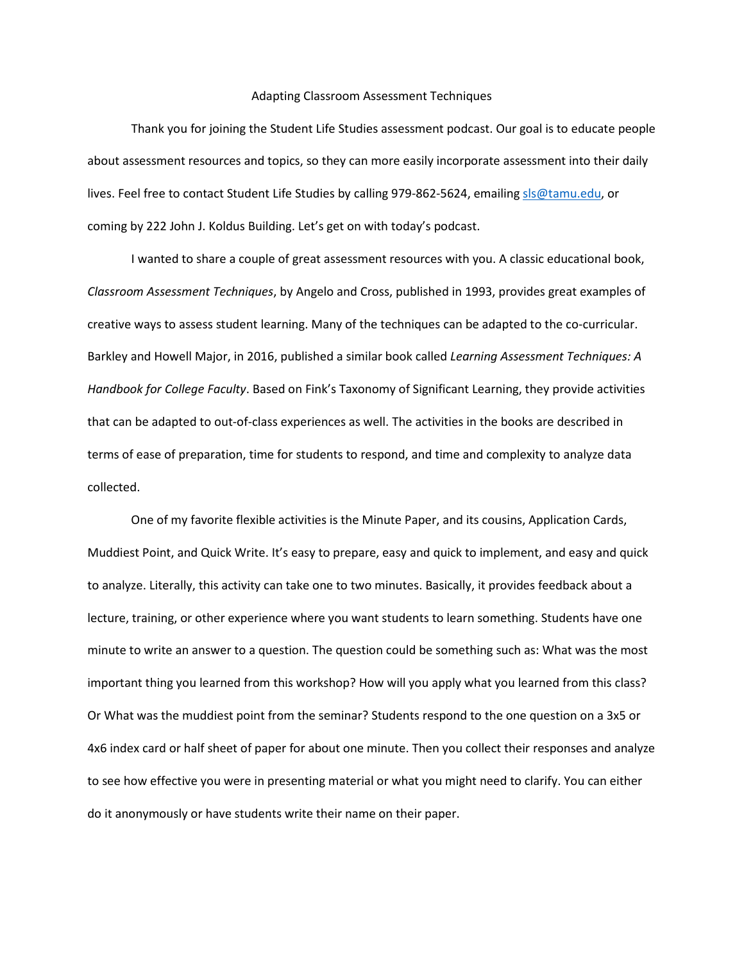## Adapting Classroom Assessment Techniques

Thank you for joining the Student Life Studies assessment podcast. Our goal is to educate people about assessment resources and topics, so they can more easily incorporate assessment into their daily lives. Feel free to contact Student Life Studies by calling 979-862-5624, emailin[g sls@tamu.edu,](mailto:sls@tamu.edu) or coming by 222 John J. Koldus Building. Let's get on with today's podcast.

I wanted to share a couple of great assessment resources with you. A classic educational book, *Classroom Assessment Techniques*, by Angelo and Cross, published in 1993, provides great examples of creative ways to assess student learning. Many of the techniques can be adapted to the co-curricular. Barkley and Howell Major, in 2016, published a similar book called *Learning Assessment Techniques: A Handbook for College Faculty*. Based on Fink's Taxonomy of Significant Learning, they provide activities that can be adapted to out-of-class experiences as well. The activities in the books are described in terms of ease of preparation, time for students to respond, and time and complexity to analyze data collected.

One of my favorite flexible activities is the Minute Paper, and its cousins, Application Cards, Muddiest Point, and Quick Write. It's easy to prepare, easy and quick to implement, and easy and quick to analyze. Literally, this activity can take one to two minutes. Basically, it provides feedback about a lecture, training, or other experience where you want students to learn something. Students have one minute to write an answer to a question. The question could be something such as: What was the most important thing you learned from this workshop? How will you apply what you learned from this class? Or What was the muddiest point from the seminar? Students respond to the one question on a 3x5 or 4x6 index card or half sheet of paper for about one minute. Then you collect their responses and analyze to see how effective you were in presenting material or what you might need to clarify. You can either do it anonymously or have students write their name on their paper.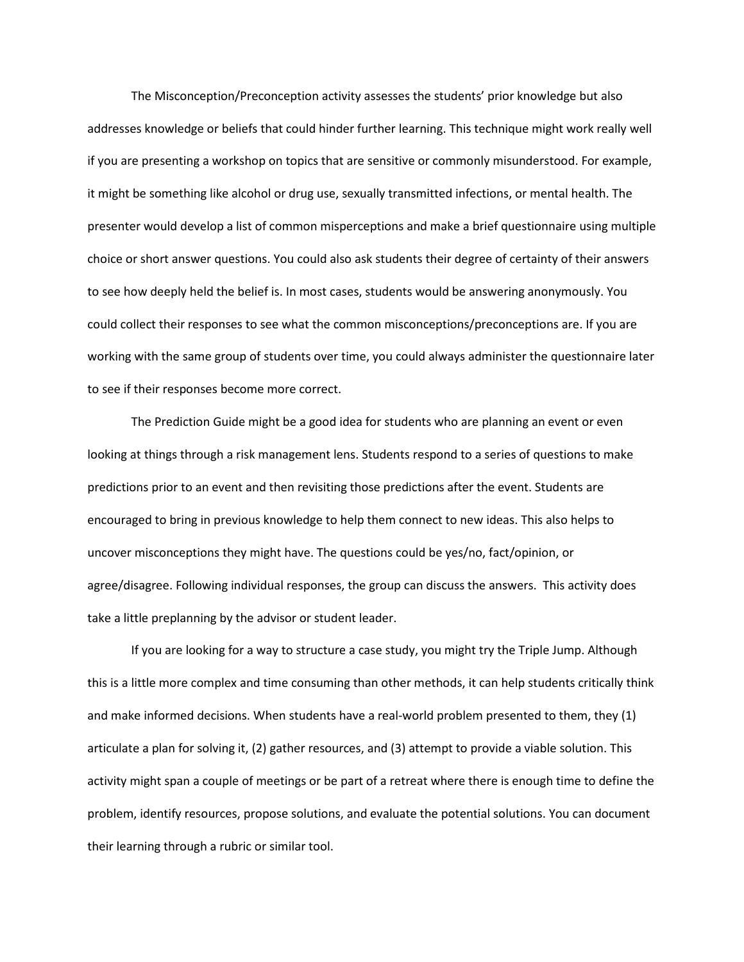The Misconception/Preconception activity assesses the students' prior knowledge but also addresses knowledge or beliefs that could hinder further learning. This technique might work really well if you are presenting a workshop on topics that are sensitive or commonly misunderstood. For example, it might be something like alcohol or drug use, sexually transmitted infections, or mental health. The presenter would develop a list of common misperceptions and make a brief questionnaire using multiple choice or short answer questions. You could also ask students their degree of certainty of their answers to see how deeply held the belief is. In most cases, students would be answering anonymously. You could collect their responses to see what the common misconceptions/preconceptions are. If you are working with the same group of students over time, you could always administer the questionnaire later to see if their responses become more correct.

The Prediction Guide might be a good idea for students who are planning an event or even looking at things through a risk management lens. Students respond to a series of questions to make predictions prior to an event and then revisiting those predictions after the event. Students are encouraged to bring in previous knowledge to help them connect to new ideas. This also helps to uncover misconceptions they might have. The questions could be yes/no, fact/opinion, or agree/disagree. Following individual responses, the group can discuss the answers. This activity does take a little preplanning by the advisor or student leader.

If you are looking for a way to structure a case study, you might try the Triple Jump. Although this is a little more complex and time consuming than other methods, it can help students critically think and make informed decisions. When students have a real-world problem presented to them, they (1) articulate a plan for solving it, (2) gather resources, and (3) attempt to provide a viable solution. This activity might span a couple of meetings or be part of a retreat where there is enough time to define the problem, identify resources, propose solutions, and evaluate the potential solutions. You can document their learning through a rubric or similar tool.